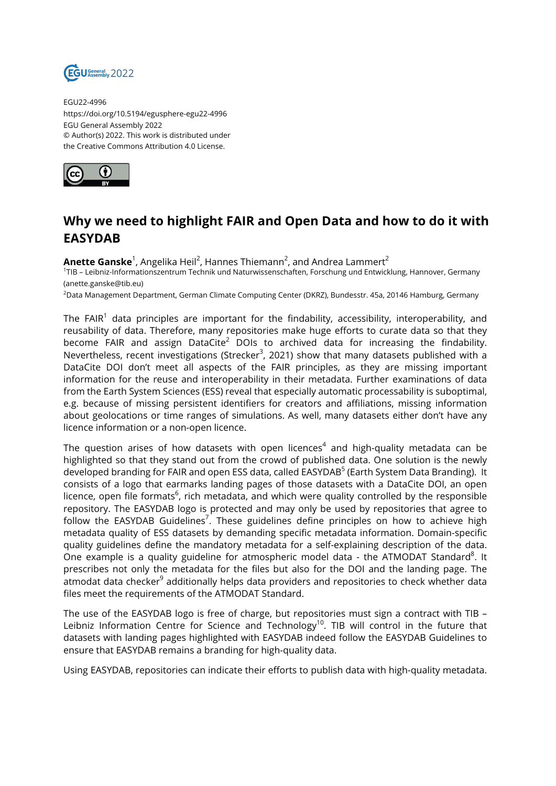

EGU22-4996 https://doi.org/10.5194/egusphere-egu22-4996 EGU General Assembly 2022 © Author(s) 2022. This work is distributed under the Creative Commons Attribution 4.0 License.



## **Why we need to highlight FAIR and Open Data and how to do it with EASYDAB**

**Anette Ganske** $^1$ , Angelika Heil $^2$ , Hannes Thiemann $^2$ , and Andrea Lammert $^2$ 1 TIB – Leibniz-Informationszentrum Technik und Naturwissenschaften, Forschung und Entwicklung, Hannover, Germany (anette.ganske@tib.eu)

<sup>2</sup>Data Management Department, German Climate Computing Center (DKRZ), Bundesstr. 45a, 20146 Hamburg, Germany

The FAIR $^{\rm 1}$  data principles are important for the findability, accessibility, interoperability, and reusability of data. Therefore, many repositories make huge efforts to curate data so that they become FAIR and assign DataCite<sup>2</sup> DOIs to archived data for increasing the findability. Nevertheless, recent investigations (Strecker<sup>3</sup>, 2021) show that many datasets published with a DataCite DOI don't meet all aspects of the FAIR principles, as they are missing important information for the reuse and interoperability in their metadata. Further examinations of data from the Earth System Sciences (ESS) reveal that especially automatic processability is suboptimal, e.g. because of missing persistent identifiers for creators and affiliations, missing information about geolocations or time ranges of simulations. As well, many datasets either don't have any licence information or a non-open licence.

The question arises of how datasets with open licences $^4$  and high-quality metadata can be highlighted so that they stand out from the crowd of published data. One solution is the newly developed branding for FAIR and open ESS data, called EASYDAB<sup>5</sup> (Earth System Data Branding). It consists of a logo that earmarks landing pages of those datasets with a DataCite DOI, an open licence, open file formats<sup>6</sup>, rich metadata, and which were quality controlled by the responsible repository. The EASYDAB logo is protected and may only be used by repositories that agree to follow the EASYDAB Guidelines<sup>7</sup>. These guidelines define principles on how to achieve high metadata quality of ESS datasets by demanding specific metadata information. Domain-specific quality guidelines define the mandatory metadata for a self-explaining description of the data. One example is a quality guideline for atmospheric model data - the ATMODAT Standard $^8$ . It prescribes not only the metadata for the files but also for the DOI and the landing page. The atmodat data checker<sup>9</sup> additionally helps data providers and repositories to check whether data files meet the requirements of the ATMODAT Standard.

The use of the EASYDAB logo is free of charge, but repositories must sign a contract with TIB – Leibniz Information Centre for Science and Technology<sup>10</sup>. TIB will control in the future that datasets with landing pages highlighted with EASYDAB indeed follow the EASYDAB Guidelines to ensure that EASYDAB remains a branding for high-quality data.

Using EASYDAB, repositories can indicate their efforts to publish data with high-quality metadata.